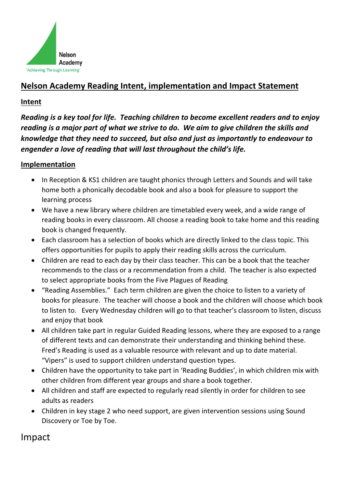

## **Nelson Academy Reading Intent, implementation and Impact Statement**

## **Intent**

*Reading is a key tool for life. Teaching children to become excellent readers and to enjoy reading is a major part of what we strive to do. We aim to give children the skills and knowledge that they need to succeed, but also and just as importantly to endeavour to engender a love of reading that will last throughout the child's life.*

## **Implementation**

- In Reception & KS1 children are taught phonics through Letters and Sounds and will take home both a phonically decodable book and also a book for pleasure to support the learning process
- We have a new library where children are timetabled every week, and a wide range of reading books in every classroom. All choose a reading book to take home and this reading book is changed frequently.
- Each classroom has a selection of books which are directly linked to the class topic. This offers opportunities for pupils to apply their reading skills across the curriculum.
- Children are read to each day by their class teacher. This can be a book that the teacher recommends to the class or a recommendation from a child. The teacher is also expected to select appropriate books from the Five Plagues of Reading
- "Reading Assemblies." Each term children are given the choice to listen to a variety of books for pleasure. The teacher will choose a book and the children will choose which book to listen to. Every Wednesday children will go to that teacher's classroom to listen, discuss and enjoy that book
- All children take part in regular Guided Reading lessons, where they are exposed to a range of different texts and can demonstrate their understanding and thinking behind these. Fred's Reading is used as a valuable resource with relevant and up to date material. "Vipers" is used to support children understand question types.
- Children have the opportunity to take part in 'Reading Buddies', in which children mix with other children from different year groups and share a book together.
- All children and staff are expected to regularly read silently in order for children to see adults as readers
- Children in key stage 2 who need support, are given intervention sessions using Sound Discovery or Toe by Toe.

## Impact